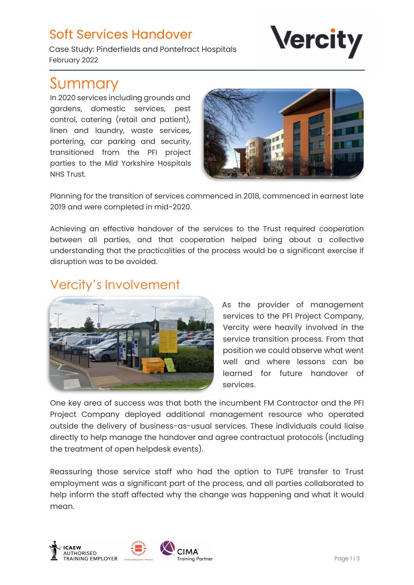### Soft Services Handover

**Vercity** 

Case Study: Pinderfields and Pontefract Hospitals February 2022

# Summary

In 2020 services including grounds and gardens, domestic services, pest control, catering (retail and patient), linen and laundry, waste services, portering, car parking and security, transitioned from the PFI project parties to the Mid Yorkshire Hospitals NHS Trust.



Planning for the transition of services commenced in 2018, commenced in earnest late 2019 and were completed in mid-2020.

Achieving an effective handover of the services to the Trust required cooperation between all parties, and that cooperation helped bring about a collective understanding that the practicalities of the process would be a significant exercise if disruption was to be avoided.

## Vercity's Involvement



As the provider of management services to the PFI Project Company, Vercity were heavily involved in the service transition process. From that position we could observe what went well and where lessons can be learned for future handover of services.

One key area of success was that both the incumbent FM Contractor and the PFI Project Company deployed additional management resource who operated outside the delivery of business-as-usual services. These individuals could liaise directly to help manage the handover and agree contractual protocols (including the treatment of open helpdesk events).

Reassuring those service staff who had the option to TUPE transfer to Trust employment was a significant part of the process, and all parties collaborated to help inform the staff affected why the change was happening and what it would mean.

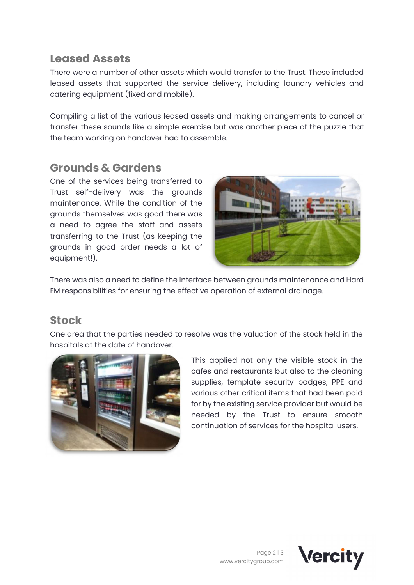#### Leased Assets

There were a number of other assets which would transfer to the Trust. These included leased assets that supported the service delivery, including laundry vehicles and catering equipment (fixed and mobile).

Compiling a list of the various leased assets and making arrangements to cancel or transfer these sounds like a simple exercise but was another piece of the puzzle that the team working on handover had to assemble.

#### Grounds & Gardens

One of the services being transferred to Trust self-delivery was the grounds maintenance. While the condition of the grounds themselves was good there was a need to agree the staff and assets transferring to the Trust (as keeping the grounds in good order needs a lot of equipment!).



There was also a need to define the interface between grounds maintenance and Hard FM responsibilities for ensuring the effective operation of external drainage.

#### Stock

One area that the parties needed to resolve was the valuation of the stock held in the hospitals at the date of handover.



This applied not only the visible stock in the cafes and restaurants but also to the cleaning supplies, template security badges, PPE and various other critical items that had been paid for by the existing service provider but would be needed by the Trust to ensure smooth continuation of services for the hospital users.